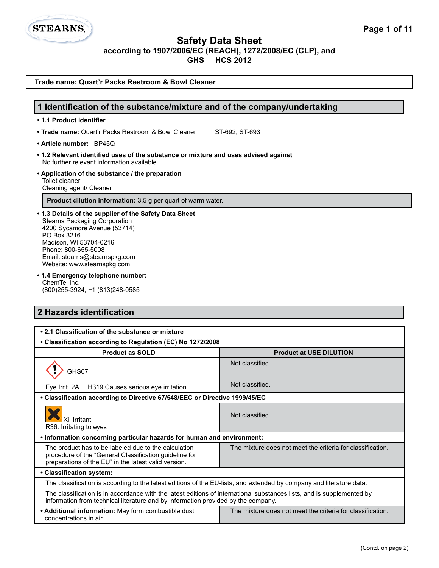

L

| Trade name: Quart'r Packs Restroom & Bowl Cleaner                                                                                                                                                                                                                                                                   |                                                            |  |
|---------------------------------------------------------------------------------------------------------------------------------------------------------------------------------------------------------------------------------------------------------------------------------------------------------------------|------------------------------------------------------------|--|
|                                                                                                                                                                                                                                                                                                                     |                                                            |  |
| 1 Identification of the substance/mixture and of the company/undertaking                                                                                                                                                                                                                                            |                                                            |  |
| • 1.1 Product identifier                                                                                                                                                                                                                                                                                            |                                                            |  |
| • Trade name: Quart'r Packs Restroom & Bowl Cleaner                                                                                                                                                                                                                                                                 | ST-692, ST-693                                             |  |
| · Article number: BP45Q                                                                                                                                                                                                                                                                                             |                                                            |  |
| • 1.2 Relevant identified uses of the substance or mixture and uses advised against<br>No further relevant information available.                                                                                                                                                                                   |                                                            |  |
| • Application of the substance / the preparation<br>Toilet cleaner<br>Cleaning agent/ Cleaner                                                                                                                                                                                                                       |                                                            |  |
| Product dilution information: 3.5 g per quart of warm water.                                                                                                                                                                                                                                                        |                                                            |  |
| • 1.3 Details of the supplier of the Safety Data Sheet<br><b>Stearns Packaging Corporation</b><br>4200 Sycamore Avenue (53714)<br>PO Box 3216<br>Madison, WI 53704-0216<br>Phone: 800-655-5008<br>Email: stearns@stearnspkg.com<br>Website: www.stearnspkg.com<br>• 1.4 Emergency telephone number:<br>ChemTel Inc. |                                                            |  |
| (800) 255-3924, +1 (813) 248-0585                                                                                                                                                                                                                                                                                   |                                                            |  |
| 2 Hazards identification                                                                                                                                                                                                                                                                                            |                                                            |  |
| • 2.1 Classification of the substance or mixture                                                                                                                                                                                                                                                                    |                                                            |  |
| • Classification according to Regulation (EC) No 1272/2008                                                                                                                                                                                                                                                          |                                                            |  |
| <b>Product as SOLD</b>                                                                                                                                                                                                                                                                                              | <b>Product at USE DILUTION</b>                             |  |
| GHS07                                                                                                                                                                                                                                                                                                               | Not classified.                                            |  |
| Eye Irrit. 2A H319 Causes serious eye irritation.                                                                                                                                                                                                                                                                   | Not classified.                                            |  |
| • Classification according to Directive 67/548/EEC or Directive 1999/45/EC                                                                                                                                                                                                                                          |                                                            |  |
| Xi; Irritant<br>R36: Irritating to eyes                                                                                                                                                                                                                                                                             | Not classified.                                            |  |
| . Information concerning particular hazards for human and environment:                                                                                                                                                                                                                                              |                                                            |  |
| The product has to be labeled due to the calculation<br>procedure of the "General Classification guideline for<br>preparations of the EU" in the latest valid version.                                                                                                                                              | The mixture does not meet the criteria for classification. |  |
| • Classification system:                                                                                                                                                                                                                                                                                            |                                                            |  |
| The classification is according to the latest editions of the EU-lists, and extended by company and literature data.                                                                                                                                                                                                |                                                            |  |
| The classification is in accordance with the latest editions of international substances lists, and is supplemented by<br>information from technical literature and by information provided by the company.                                                                                                         |                                                            |  |
| • Additional information: May form combustible dust<br>concentrations in air.                                                                                                                                                                                                                                       | The mixture does not meet the criteria for classification. |  |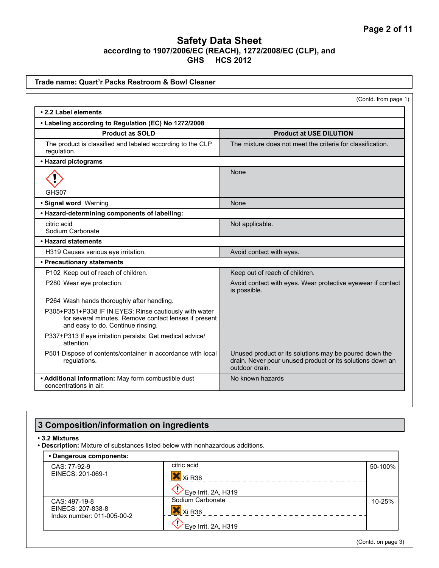| Trade name: Quart'r Packs Restroom & Bowl Cleaner                                                                                                    |                                                                                                                                       |
|------------------------------------------------------------------------------------------------------------------------------------------------------|---------------------------------------------------------------------------------------------------------------------------------------|
|                                                                                                                                                      | (Contd. from page 1)                                                                                                                  |
| • 2.2 Label elements                                                                                                                                 |                                                                                                                                       |
| • Labeling according to Regulation (EC) No 1272/2008                                                                                                 |                                                                                                                                       |
| <b>Product as SOLD</b>                                                                                                                               | <b>Product at USE DILUTION</b>                                                                                                        |
| The product is classified and labeled according to the CLP<br>regulation.                                                                            | The mixture does not meet the criteria for classification.                                                                            |
| • Hazard pictograms                                                                                                                                  |                                                                                                                                       |
|                                                                                                                                                      | None                                                                                                                                  |
| GHS07                                                                                                                                                |                                                                                                                                       |
| · Signal word Warning                                                                                                                                | None                                                                                                                                  |
| • Hazard-determining components of labelling:<br>citric acid                                                                                         |                                                                                                                                       |
| Sodium Carbonate                                                                                                                                     | Not applicable.                                                                                                                       |
| • Hazard statements                                                                                                                                  |                                                                                                                                       |
| H319 Causes serious eye irritation.                                                                                                                  | Avoid contact with eyes.                                                                                                              |
| • Precautionary statements                                                                                                                           |                                                                                                                                       |
| P102 Keep out of reach of children.                                                                                                                  | Keep out of reach of children.                                                                                                        |
| P280 Wear eye protection.                                                                                                                            | Avoid contact with eyes. Wear protective eyewear if contact<br>is possible.                                                           |
| P264 Wash hands thoroughly after handling.                                                                                                           |                                                                                                                                       |
| P305+P351+P338 IF IN EYES: Rinse cautiously with water<br>for several minutes. Remove contact lenses if present<br>and easy to do. Continue rinsing. |                                                                                                                                       |
| P337+P313 If eye irritation persists: Get medical advice/<br>attention.                                                                              |                                                                                                                                       |
| P501 Dispose of contents/container in accordance with local<br>regulations.                                                                          | Unused product or its solutions may be poured down the<br>drain. Never pour unused product or its solutions down an<br>outdoor drain. |
| • Additional information: May form combustible dust<br>concentrations in air.                                                                        | No known hazards                                                                                                                      |

# **3 Composition/information on ingredients**

**• 3.2 Mixtures**

**• Description:** Mixture of substances listed below with nonhazardous additions.

| • Dangerous components:                                          |                                        |         |
|------------------------------------------------------------------|----------------------------------------|---------|
| CAS: 77-92-9<br>EINECS: 201-069-1                                | citric acid<br>Xi R <sub>36</sub>      | 50-100% |
|                                                                  | Eye Irrit. 2A, H319                    |         |
| CAS: 497-19-8<br>EINECS: 207-838-8<br>Index number: 011-005-00-2 | Sodium Carbonate<br>Xi R <sub>36</sub> | 10-25%  |
|                                                                  | Eye Irrit. 2A, H319                    |         |

(Contd. on page 3)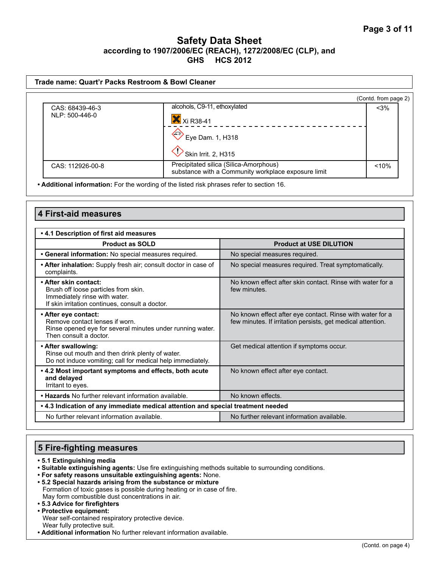|                  |                                                                                               | (Contd. from page 2) |
|------------------|-----------------------------------------------------------------------------------------------|----------------------|
| CAS: 68439-46-3  | alcohols, C9-11, ethoxylated                                                                  | $<$ 3%               |
| NLP: 500-446-0   | Xi R38-41                                                                                     |                      |
|                  | Eye Dam. 1, H318                                                                              |                      |
|                  | Skin Irrit. 2, H315                                                                           |                      |
| CAS: 112926-00-8 | Precipitated silica (Silica-Amorphous)<br>substance with a Community workplace exposure limit | < 10%                |

**• Additional information:** For the wording of the listed risk phrases refer to section 16.

| <b>4 First-aid measures</b>                                                                                                                       |                                                                                                                          |  |
|---------------------------------------------------------------------------------------------------------------------------------------------------|--------------------------------------------------------------------------------------------------------------------------|--|
| • 4.1 Description of first aid measures                                                                                                           |                                                                                                                          |  |
| <b>Product as SOLD</b>                                                                                                                            | <b>Product at USE DILUTION</b>                                                                                           |  |
| · General information: No special measures required.                                                                                              | No special measures required.                                                                                            |  |
| • After inhalation: Supply fresh air; consult doctor in case of<br>complaints.                                                                    | No special measures required. Treat symptomatically.                                                                     |  |
| • After skin contact:<br>Brush off loose particles from skin.<br>Immediately rinse with water.<br>If skin irritation continues, consult a doctor. | No known effect after skin contact. Rinse with water for a<br>few minutes.                                               |  |
| • After eye contact:<br>Remove contact lenses if worn.<br>Rinse opened eye for several minutes under running water.<br>Then consult a doctor.     | No known effect after eye contact. Rinse with water for a<br>few minutes. If irritation persists, get medical attention. |  |
| • After swallowing:<br>Rinse out mouth and then drink plenty of water.<br>Do not induce vomiting; call for medical help immediately.              | Get medical attention if symptoms occur.                                                                                 |  |
| . 4.2 Most important symptoms and effects, both acute<br>and delayed<br>Irritant to eyes.                                                         | No known effect after eye contact.                                                                                       |  |
| • Hazards No further relevant information available.                                                                                              | No known effects.                                                                                                        |  |
| . 4.3 Indication of any immediate medical attention and special treatment needed                                                                  |                                                                                                                          |  |
| No further relevant information available.                                                                                                        | No further relevant information available.                                                                               |  |

# **5 Fire-fighting measures**

- **5.1 Extinguishing media**
- **Suitable extinguishing agents:** Use fire extinguishing methods suitable to surrounding conditions.
- **For safety reasons unsuitable extinguishing agents:** None.
- **5.2 Special hazards arising from the substance or mixture**  Formation of toxic gases is possible during heating or in case of fire. May form combustible dust concentrations in air.
- **5.3 Advice for firefighters • Protective equipment:**
- Wear self-contained respiratory protective device. Wear fully protective suit.
- **Additional information** No further relevant information available.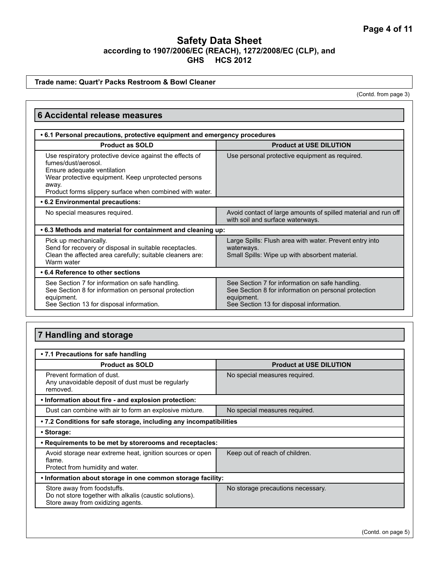### **Trade name: Quart'r Packs Restroom & Bowl Cleaner**

(Contd. from page 3)

| <b>6 Accidental release measures</b>                                                                                                                                                                                                       |                                                                                                                                                                   |  |
|--------------------------------------------------------------------------------------------------------------------------------------------------------------------------------------------------------------------------------------------|-------------------------------------------------------------------------------------------------------------------------------------------------------------------|--|
| • 6.1 Personal precautions, protective equipment and emergency procedures                                                                                                                                                                  |                                                                                                                                                                   |  |
| <b>Product as SOLD</b>                                                                                                                                                                                                                     | <b>Product at USE DILUTION</b>                                                                                                                                    |  |
| Use respiratory protective device against the effects of<br>fumes/dust/aerosol.<br>Ensure adequate ventilation<br>Wear protective equipment. Keep unprotected persons<br>away.<br>Product forms slippery surface when combined with water. | Use personal protective equipment as required.                                                                                                                    |  |
| • 6.2 Environmental precautions:                                                                                                                                                                                                           |                                                                                                                                                                   |  |
| No special measures required.                                                                                                                                                                                                              | Avoid contact of large amounts of spilled material and run off<br>with soil and surface waterways.                                                                |  |
| .6.3 Methods and material for containment and cleaning up:                                                                                                                                                                                 |                                                                                                                                                                   |  |
| Pick up mechanically.<br>Send for recovery or disposal in suitable receptacles.<br>Clean the affected area carefully; suitable cleaners are:<br>Warm water                                                                                 | Large Spills: Flush area with water. Prevent entry into<br>waterways.<br>Small Spills: Wipe up with absorbent material.                                           |  |
| • 6.4 Reference to other sections                                                                                                                                                                                                          |                                                                                                                                                                   |  |
| See Section 7 for information on safe handling.<br>See Section 8 for information on personal protection<br>equipment.<br>See Section 13 for disposal information.                                                                          | See Section 7 for information on safe handling.<br>See Section 8 for information on personal protection<br>equipment.<br>See Section 13 for disposal information. |  |

# **7 Handling and storage**

| • 7.1 Precautions for safe handling                                                                                         |                                   |  |
|-----------------------------------------------------------------------------------------------------------------------------|-----------------------------------|--|
| <b>Product as SOLD</b>                                                                                                      | <b>Product at USE DILUTION</b>    |  |
| Prevent formation of dust.<br>Any unavoidable deposit of dust must be regularly<br>removed.                                 | No special measures required.     |  |
| . Information about fire - and explosion protection:                                                                        |                                   |  |
| Dust can combine with air to form an explosive mixture.                                                                     | No special measures required.     |  |
| • 7.2 Conditions for safe storage, including any incompatibilities                                                          |                                   |  |
| • Storage:                                                                                                                  |                                   |  |
| . Requirements to be met by storerooms and receptacles:                                                                     |                                   |  |
| Avoid storage near extreme heat, ignition sources or open<br>flame.<br>Protect from humidity and water.                     | Keep out of reach of children.    |  |
| . Information about storage in one common storage facility:                                                                 |                                   |  |
| Store away from foodstuffs.<br>Do not store together with alkalis (caustic solutions).<br>Store away from oxidizing agents. | No storage precautions necessary. |  |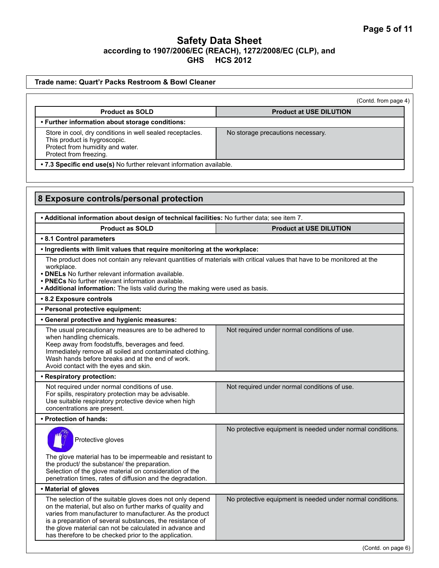| Trade name: Quart'r Packs Restroom & Bowl Cleaner                                                                                                                                                                                                                                                                                                                   |                                                            |
|---------------------------------------------------------------------------------------------------------------------------------------------------------------------------------------------------------------------------------------------------------------------------------------------------------------------------------------------------------------------|------------------------------------------------------------|
|                                                                                                                                                                                                                                                                                                                                                                     | (Contd. from page 4)                                       |
| <b>Product as SOLD</b>                                                                                                                                                                                                                                                                                                                                              | <b>Product at USE DILUTION</b>                             |
| • Further information about storage conditions:                                                                                                                                                                                                                                                                                                                     |                                                            |
| Store in cool, dry conditions in well sealed receptacles.<br>This product is hygroscopic.<br>Protect from humidity and water.<br>Protect from freezing.                                                                                                                                                                                                             | No storage precautions necessary.                          |
| . 7.3 Specific end use(s) No further relevant information available.                                                                                                                                                                                                                                                                                                |                                                            |
|                                                                                                                                                                                                                                                                                                                                                                     |                                                            |
|                                                                                                                                                                                                                                                                                                                                                                     |                                                            |
| 8 Exposure controls/personal protection                                                                                                                                                                                                                                                                                                                             |                                                            |
|                                                                                                                                                                                                                                                                                                                                                                     |                                                            |
| . Additional information about design of technical facilities: No further data; see item 7.                                                                                                                                                                                                                                                                         |                                                            |
| <b>Product as SOLD</b>                                                                                                                                                                                                                                                                                                                                              | <b>Product at USE DILUTION</b>                             |
| • 8.1 Control parameters                                                                                                                                                                                                                                                                                                                                            |                                                            |
| . Ingredients with limit values that require monitoring at the workplace:                                                                                                                                                                                                                                                                                           |                                                            |
| The product does not contain any relevant quantities of materials with critical values that have to be monitored at the<br>workplace.<br>• DNELs No further relevant information available.<br>• PNECs No further relevant information available.<br>• Additional information: The lists valid during the making were used as basis.                                |                                                            |
| • 8.2 Exposure controls                                                                                                                                                                                                                                                                                                                                             |                                                            |
| • Personal protective equipment:                                                                                                                                                                                                                                                                                                                                    |                                                            |
| • General protective and hygienic measures:                                                                                                                                                                                                                                                                                                                         |                                                            |
| The usual precautionary measures are to be adhered to<br>when handling chemicals.<br>Keep away from foodstuffs, beverages and feed.<br>Immediately remove all soiled and contaminated clothing.<br>Wash hands before breaks and at the end of work.<br>Avoid contact with the eyes and skin.                                                                        | Not required under normal conditions of use.               |
| • Respiratory protection:                                                                                                                                                                                                                                                                                                                                           |                                                            |
| Not required under normal conditions of use.<br>For spills, respiratory protection may be advisable.<br>Use suitable respiratory protective device when high<br>concentrations are present.                                                                                                                                                                         | Not required under normal conditions of use.               |
| • Protection of hands:                                                                                                                                                                                                                                                                                                                                              |                                                            |
| Protective gloves                                                                                                                                                                                                                                                                                                                                                   | No protective equipment is needed under normal conditions. |
| The glove material has to be impermeable and resistant to<br>the product/ the substance/ the preparation.<br>Selection of the glove material on consideration of the<br>penetration times, rates of diffusion and the degradation.                                                                                                                                  |                                                            |
| • Material of gloves                                                                                                                                                                                                                                                                                                                                                |                                                            |
| The selection of the suitable gloves does not only depend<br>on the material, but also on further marks of quality and<br>varies from manufacturer to manufacturer. As the product<br>is a preparation of several substances, the resistance of<br>the glove material can not be calculated in advance and<br>has therefore to be checked prior to the application. | No protective equipment is needed under normal conditions. |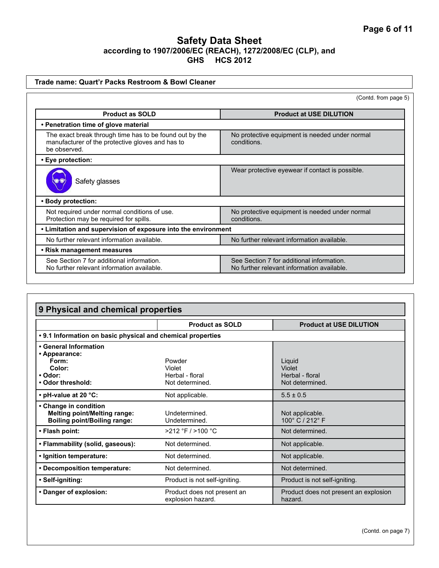| Trade name: Quart'r Packs Restroom & Bowl Cleaner                                                                           |                                                                                         |
|-----------------------------------------------------------------------------------------------------------------------------|-----------------------------------------------------------------------------------------|
|                                                                                                                             | (Contd. from page 5)                                                                    |
| <b>Product as SOLD</b>                                                                                                      | <b>Product at USE DILUTION</b>                                                          |
| • Penetration time of glove material                                                                                        |                                                                                         |
| The exact break through time has to be found out by the<br>manufacturer of the protective gloves and has to<br>be observed. | No protective equipment is needed under normal<br>conditions.                           |
| • Eye protection:                                                                                                           |                                                                                         |
| Safety glasses                                                                                                              | Wear protective eyewear if contact is possible.                                         |
| • Body protection:                                                                                                          |                                                                                         |
| Not required under normal conditions of use.<br>Protection may be required for spills.                                      | No protective equipment is needed under normal<br>conditions.                           |
| • Limitation and supervision of exposure into the environment                                                               |                                                                                         |
| No further relevant information available.                                                                                  | No further relevant information available.                                              |
| • Risk management measures                                                                                                  |                                                                                         |
| See Section 7 for additional information.<br>No further relevant information available.                                     | See Section 7 for additional information.<br>No further relevant information available. |

| 9 Physical and chemical properties                                                                  |                                                        |                                                        |
|-----------------------------------------------------------------------------------------------------|--------------------------------------------------------|--------------------------------------------------------|
|                                                                                                     | <b>Product as SOLD</b>                                 | <b>Product at USE DILUTION</b>                         |
| • 9.1 Information on basic physical and chemical properties                                         |                                                        |                                                        |
| • General Information<br>• Appearance:<br>Form:<br>Color:<br>• Odor:<br>• Odor threshold:           | Powder<br>Violet<br>Herbal - floral<br>Not determined. | Liquid<br>Violet<br>Herbal - floral<br>Not determined. |
| • pH-value at 20 °C:                                                                                | Not applicable.                                        | $5.5 \pm 0.5$                                          |
| • Change in condition<br><b>Melting point/Melting range:</b><br><b>Boiling point/Boiling range:</b> | Undetermined.<br>Undetermined.                         | Not applicable.<br>100° C / 212° F                     |
| • Flash point:                                                                                      | $>212$ °F / $>100$ °C                                  | Not determined.                                        |
| • Flammability (solid, gaseous):                                                                    | Not determined.                                        | Not applicable.                                        |
| • Ignition temperature:                                                                             | Not determined.                                        | Not applicable.                                        |
| • Decomposition temperature:                                                                        | Not determined.                                        | Not determined.                                        |
| · Self-igniting:                                                                                    | Product is not self-igniting.                          | Product is not self-igniting.                          |
| • Danger of explosion:                                                                              | Product does not present an<br>explosion hazard.       | Product does not present an explosion<br>hazard.       |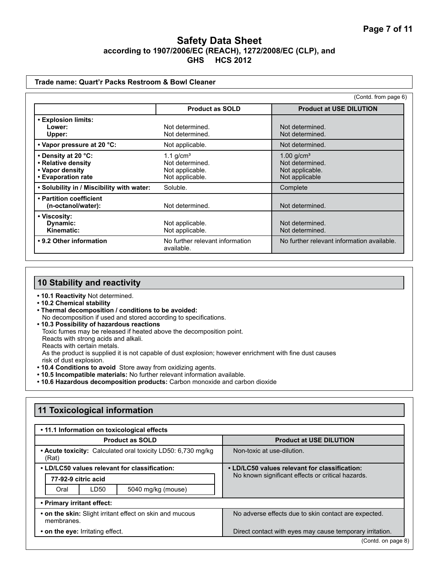#### **Trade name: Quart'r Packs Restroom & Bowl Cleaner**

(Contd. from page 6)

|                                                                                    | <b>Product as SOLD</b>                                               | <b>Product at USE DILUTION</b>                                                   |
|------------------------------------------------------------------------------------|----------------------------------------------------------------------|----------------------------------------------------------------------------------|
| • Explosion limits:<br>Lower:<br>Upper:                                            | Not determined.<br>Not determined.                                   | Not determined.<br>Not determined.                                               |
| • Vapor pressure at 20 °C:                                                         | Not applicable.                                                      | Not determined.                                                                  |
| • Density at 20 °C:<br>• Relative density<br>• Vapor density<br>• Evaporation rate | 1.1 $q/cm3$<br>Not determined.<br>Not applicable.<br>Not applicable. | $1.00$ g/cm <sup>3</sup><br>Not determined.<br>Not applicable.<br>Not applicable |
| . Solubility in / Miscibility with water:                                          | Soluble.                                                             | Complete                                                                         |
| • Partition coefficient<br>(n-octanol/water):                                      | Not determined.                                                      | Not determined.                                                                  |
| • Viscosity:<br>Dynamic:<br>Kinematic:                                             | Not applicable.<br>Not applicable.                                   | Not determined.<br>Not determined.                                               |
| • 9.2 Other information                                                            | No further relevant information<br>available.                        | No further relevant information available.                                       |

# **10 Stability and reactivity**

- **10.1 Reactivity** Not determined.
- **10.2 Chemical stability**
- **Thermal decomposition / conditions to be avoided:** No decomposition if used and stored according to specifications.
- **10.3 Possibility of hazardous reactions**
	- Toxic fumes may be released if heated above the decomposition point.
	- Reacts with strong acids and alkali.
	- Reacts with certain metals.

As the product is supplied it is not capable of dust explosion; however enrichment with fine dust causes risk of dust explosion.

- **10.4 Conditions to avoid** Store away from oxidizing agents.
- **10.5 Incompatible materials:** No further relevant information available.
- **10.6 Hazardous decomposition products:** Carbon monoxide and carbon dioxide

| • 11.1 Information on toxicological effects                            |                                                                                                    |
|------------------------------------------------------------------------|----------------------------------------------------------------------------------------------------|
| <b>Product as SOLD</b>                                                 | <b>Product at USE DILUTION</b>                                                                     |
| • Acute toxicity: Calculated oral toxicity LD50: 6,730 mg/kg<br>(Rat)  | Non-toxic at use-dilution.                                                                         |
| • LD/LC50 values relevant for classification:                          | • LD/LC50 values relevant for classification:<br>No known significant effects or critical hazards. |
| 77-92-9 citric acid                                                    |                                                                                                    |
| LD50<br>5040 mg/kg (mouse)<br>Oral                                     |                                                                                                    |
| • Primary irritant effect:                                             |                                                                                                    |
| • on the skin: Slight irritant effect on skin and mucous<br>membranes. | No adverse effects due to skin contact are expected.                                               |
| • on the eye: Irritating effect.                                       | Direct contact with eyes may cause temporary irritation.                                           |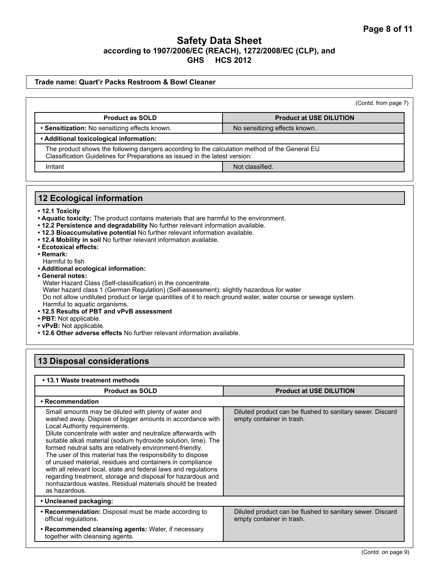### **Trade name: Quart'r Packs Restroom & Bowl Cleaner**

| (Contd. from page 7) |  |  |
|----------------------|--|--|
|                      |  |  |

| <b>Product as SOLD</b>                                                                                                                                                       | <b>Product at USE DILUTION</b> |  |
|------------------------------------------------------------------------------------------------------------------------------------------------------------------------------|--------------------------------|--|
| • Sensitization: No sensitizing effects known.                                                                                                                               | No sensitizing effects known.  |  |
| • Additional toxicological information:                                                                                                                                      |                                |  |
| The product shows the following dangers according to the calculation method of the General EU<br>Classification Guidelines for Preparations as issued in the latest version: |                                |  |
| Irritant                                                                                                                                                                     | Not classified.                |  |

# **12 Ecological information**

- **12.1 Toxicity**
- **Aquatic toxicity:** The product contains materials that are harmful to the environment.
- **12.2 Persistence and degradability** No further relevant information available.
- **12.3 Bioaccumulative potential** No further relevant information available.
- **12.4 Mobility in soil** No further relevant information available.
- **Ecotoxical effects:**
- **Remark:**
- Harmful to fish
- **Additional ecological information:**
- **General notes:**

Water Hazard Class (Self-classification) in the concentrate. Water hazard class 1 (German Regulation) (Self-assessment): slightly hazardous for water Do not allow undiluted product or large quantities of it to reach ground water, water course or sewage system. Harmful to aquatic organisms.

- **12.5 Results of PBT and vPvB assessment**
- **PBT:** Not applicable.
- **vPvB:** Not applicable.
- **12.6 Other adverse effects** No further relevant information available.

# **13 Disposal considerations**

| • 13.1 Waste treatment methods                                                                                                                                                                                                                                                                                                                                                                                                                                                                                                                                                                                                                                                                  |                                                                                        |  |  |  |  |
|-------------------------------------------------------------------------------------------------------------------------------------------------------------------------------------------------------------------------------------------------------------------------------------------------------------------------------------------------------------------------------------------------------------------------------------------------------------------------------------------------------------------------------------------------------------------------------------------------------------------------------------------------------------------------------------------------|----------------------------------------------------------------------------------------|--|--|--|--|
| <b>Product as SOLD</b>                                                                                                                                                                                                                                                                                                                                                                                                                                                                                                                                                                                                                                                                          | <b>Product at USE DILUTION</b>                                                         |  |  |  |  |
| • Recommendation                                                                                                                                                                                                                                                                                                                                                                                                                                                                                                                                                                                                                                                                                |                                                                                        |  |  |  |  |
| Small amounts may be diluted with plenty of water and<br>washed away. Dispose of bigger amounts in accordance with<br>Local Authority requirements.<br>Dilute concentrate with water and neutralize afterwards with<br>suitable alkali material (sodium hydroxide solution, lime). The<br>formed neutral salts are relatively environment-friendly.<br>The user of this material has the responsibility to dispose<br>of unused material, residues and containers in compliance<br>with all relevant local, state and federal laws and regulations<br>regarding treatment, storage and disposal for hazardous and<br>nonhazardous wastes. Residual materials should be treated<br>as hazardous. | Diluted product can be flushed to sanitary sewer. Discard<br>empty container in trash. |  |  |  |  |
| • Uncleaned packaging:                                                                                                                                                                                                                                                                                                                                                                                                                                                                                                                                                                                                                                                                          |                                                                                        |  |  |  |  |
| • Recommendation: Disposal must be made according to<br>official regulations.                                                                                                                                                                                                                                                                                                                                                                                                                                                                                                                                                                                                                   | Diluted product can be flushed to sanitary sewer. Discard<br>empty container in trash. |  |  |  |  |
| • Recommended cleansing agents: Water, if necessary<br>together with cleansing agents.                                                                                                                                                                                                                                                                                                                                                                                                                                                                                                                                                                                                          |                                                                                        |  |  |  |  |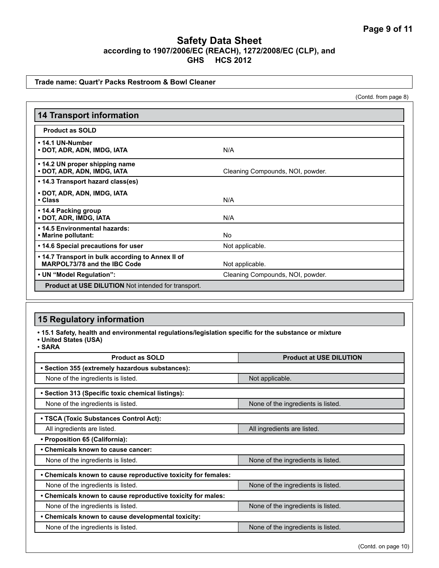### **Trade name: Quart'r Packs Restroom & Bowl Cleaner**

(Contd. from page 8)

| <b>14 Transport information</b>                                                   |                                  |  |
|-----------------------------------------------------------------------------------|----------------------------------|--|
| <b>Product as SOLD</b>                                                            |                                  |  |
| • 14.1 UN-Number<br>• DOT, ADR, ADN, IMDG, IATA                                   | N/A                              |  |
| • 14.2 UN proper shipping name<br>• DOT, ADR, ADN, IMDG, IATA                     | Cleaning Compounds, NOI, powder. |  |
| • 14.3 Transport hazard class(es)                                                 |                                  |  |
| • DOT, ADR, ADN, IMDG, IATA<br>• Class                                            | N/A                              |  |
| • 14.4 Packing group<br>• DOT, ADR, IMDG, IATA                                    | N/A                              |  |
| • 14.5 Environmental hazards:<br>• Marine pollutant:                              | No                               |  |
| • 14.6 Special precautions for user                                               | Not applicable.                  |  |
| • 14.7 Transport in bulk according to Annex II of<br>MARPOL73/78 and the IBC Code | Not applicable.                  |  |
| • UN "Model Regulation":                                                          | Cleaning Compounds, NOI, powder. |  |
| <b>Product at USE DILUTION</b> Not intended for transport.                        |                                  |  |

# **15 Regulatory information**

**• 15.1 Safety, health and environmental regulations/legislation specific for the substance or mixture**

**• United States (USA)**

• **SARA**

| <b>Product as SOLD</b>                                        | <b>Product at USE DILUTION</b>     |  |  |  |  |
|---------------------------------------------------------------|------------------------------------|--|--|--|--|
| • Section 355 (extremely hazardous substances):               |                                    |  |  |  |  |
| None of the ingredients is listed.                            | Not applicable.                    |  |  |  |  |
| • Section 313 (Specific toxic chemical listings):             |                                    |  |  |  |  |
| None of the ingredients is listed.                            | None of the ingredients is listed. |  |  |  |  |
| • TSCA (Toxic Substances Control Act):                        |                                    |  |  |  |  |
| All ingredients are listed.                                   | All ingredients are listed.        |  |  |  |  |
| • Proposition 65 (California):                                |                                    |  |  |  |  |
| • Chemicals known to cause cancer:                            |                                    |  |  |  |  |
| None of the ingredients is listed.                            | None of the ingredients is listed. |  |  |  |  |
| • Chemicals known to cause reproductive toxicity for females: |                                    |  |  |  |  |
| None of the ingredients is listed.                            | None of the ingredients is listed. |  |  |  |  |
| . Chemicals known to cause reproductive toxicity for males:   |                                    |  |  |  |  |
| None of the ingredients is listed.                            | None of the ingredients is listed. |  |  |  |  |
| • Chemicals known to cause developmental toxicity:            |                                    |  |  |  |  |
| None of the ingredients is listed.                            | None of the ingredients is listed. |  |  |  |  |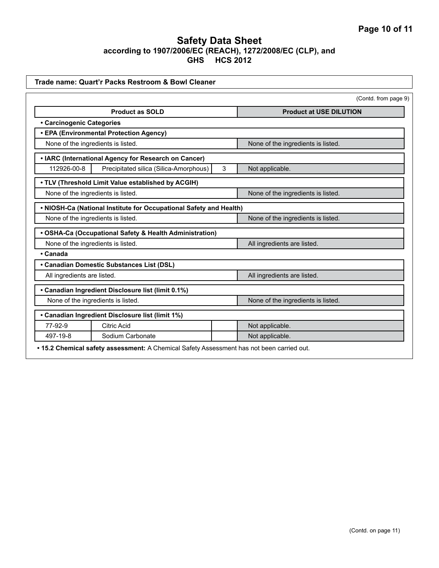|                                    | Trade name: Quart'r Packs Restroom & Bowl Cleaner                  |                                    |
|------------------------------------|--------------------------------------------------------------------|------------------------------------|
|                                    |                                                                    | (Contd. from page 9)               |
|                                    | <b>Product as SOLD</b>                                             | <b>Product at USE DILUTION</b>     |
| • Carcinogenic Categories          |                                                                    |                                    |
|                                    | • EPA (Environmental Protection Agency)                            |                                    |
| None of the ingredients is listed. |                                                                    | None of the ingredients is listed. |
|                                    | • IARC (International Agency for Research on Cancer)               |                                    |
| 112926-00-8                        | Precipitated silica (Silica-Amorphous)                             | 3<br>Not applicable.               |
|                                    | . TLV (Threshold Limit Value established by ACGIH)                 |                                    |
|                                    | None of the ingredients is listed.                                 | None of the ingredients is listed. |
|                                    | . NIOSH-Ca (National Institute for Occupational Safety and Health) |                                    |
|                                    | None of the ingredients is listed.                                 | None of the ingredients is listed. |
|                                    | • OSHA-Ca (Occupational Safety & Health Administration)            |                                    |
|                                    | None of the ingredients is listed.                                 | All ingredients are listed.        |
| • Canada                           |                                                                    |                                    |
|                                    | • Canadian Domestic Substances List (DSL)                          |                                    |
| All ingredients are listed.        |                                                                    | All ingredients are listed.        |
|                                    | • Canadian Ingredient Disclosure list (limit 0.1%)                 |                                    |
| None of the ingredients is listed. |                                                                    | None of the ingredients is listed. |
|                                    | • Canadian Ingredient Disclosure list (limit 1%)                   |                                    |
| 77-92-9                            | <b>Citric Acid</b>                                                 | Not applicable.                    |
|                                    | Sodium Carbonate                                                   | Not applicable.                    |